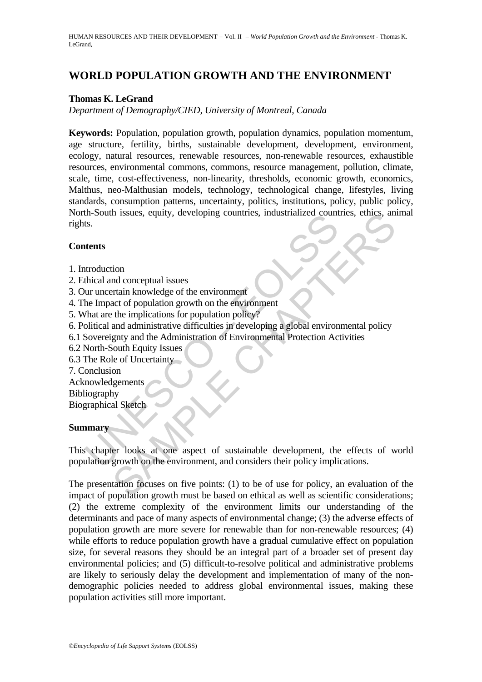# **WORLD POPULATION GROWTH AND THE ENVIRONMENT**

## **Thomas K. LeGrand**

*Department of Demography/CIED, University of Montreal, Canada* 

**Keywords:** Population, population growth, population dynamics, population momentum, age structure, fertility, births, sustainable development, development, environment, ecology, natural resources, renewable resources, non-renewable resources, exhaustible resources, environmental commons, commons, resource management, pollution, climate, scale, time, cost-effectiveness, non-linearity, thresholds, economic growth, economics, Malthus, neo-Malthusian models, technology, technological change, lifestyles, living standards, consumption patterns, uncertainty, politics, institutions, policy, public policy, North-South issues, equity, developing countries, industrialized countries, ethics, animal rights.

#### **Contents**

- 1. Introduction
- 2. Ethical and conceptual issues
- 3. Our uncertain knowledge of the environment
- 4. The Impact of population growth on the environment
- 5. What are the implications for population policy?
- 6. Political and administrative difficulties in developing a global environmental policy
- 6.1 Sovereignty and the Administration of Environmental Protection Activities
- 6.2 North-South Equity Issues
- 6.3 The Role of Uncertainty
- 7. Conclusion
- Acknowledgements
- Bibliography

Biographical Sketch

#### **Summary**

In-Soluti issues, equity, developing colinities, industrialized count<br>
ts.<br>
tents<br>
ts.<br>
tents<br>
trents<br>
transland conceptual issues<br>
the limpact of population growth on the environment<br>
(hat are the implications for populat The sister of substrainable development and conceptual issues<br>
and conceptual issues<br>
train knowledge of the environment<br>
the implications for population policy?<br>
and administrative difficulties in developing a global envi This chapter looks at one aspect of sustainable development, the effects of world population growth on the environment, and considers their policy implications.

The presentation focuses on five points: (1) to be of use for policy, an evaluation of the impact of population growth must be based on ethical as well as scientific considerations; (2) the extreme complexity of the environment limits our understanding of the determinants and pace of many aspects of environmental change; (3) the adverse effects of population growth are more severe for renewable than for non-renewable resources; (4) while efforts to reduce population growth have a gradual cumulative effect on population size, for several reasons they should be an integral part of a broader set of present day environmental policies; and (5) difficult-to-resolve political and administrative problems are likely to seriously delay the development and implementation of many of the nondemographic policies needed to address global environmental issues, making these population activities still more important.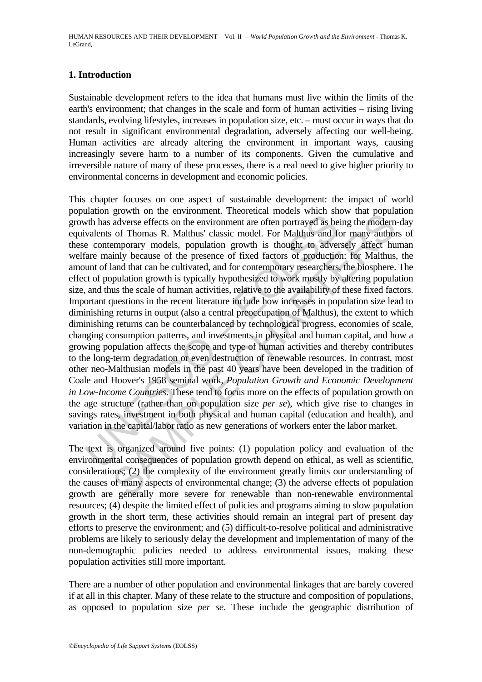### **1. Introduction**

Sustainable development refers to the idea that humans must live within the limits of the earth's environment; that changes in the scale and form of human activities – rising living standards, evolving lifestyles, increases in population size, etc. – must occur in ways that do not result in significant environmental degradation, adversely affecting our well-being. Human activities are already altering the environment in important ways, causing increasingly severe harm to a number of its components. Given the cumulative and irreversible nature of many of these processes, there is a real need to give higher priority to environmental concerns in development and economic policies.

with has adverse effects on the environment are often portrayed as be<br>with has adverse effects on the environment are often portrayed as be<br>valents of Thomas R. Malthus' classic model. For Malthus and fe<br>contemporary mode givour on the custominant: included models where so where some and population<br>adverse effects on the environment are often portrayed as being the modern<br>of Thomas R. Malthus' classic model. For Malthus and for many authom<br> This chapter focuses on one aspect of sustainable development: the impact of world population growth on the environment. Theoretical models which show that population growth has adverse effects on the environment are often portrayed as being the modern-day equivalents of Thomas R. Malthus' classic model. For Malthus and for many authors of these contemporary models, population growth is thought to adversely affect human welfare mainly because of the presence of fixed factors of production: for Malthus, the amount of land that can be cultivated, and for contemporary researchers, the biosphere. The effect of population growth is typically hypothesized to work mostly by altering population size, and thus the scale of human activities, relative to the availability of these fixed factors. Important questions in the recent literature include how increases in population size lead to diminishing returns in output (also a central preoccupation of Malthus), the extent to which diminishing returns can be counterbalanced by technological progress, economies of scale, changing consumption patterns, and investments in physical and human capital, and how a growing population affects the scope and type of human activities and thereby contributes to the long-term degradation or even destruction of renewable resources. In contrast, most other neo-Malthusian models in the past 40 years have been developed in the tradition of Coale and Hoover's 1958 seminal work, *Population Growth and Economic Development in Low-Income Countries*. These tend to focus more on the effects of population growth on the age structure (rather than on population size *per se*), which give rise to changes in savings rates, investment in both physical and human capital (education and health), and variation in the capital/labor ratio as new generations of workers enter the labor market.

The text is organized around five points: (1) population policy and evaluation of the environmental consequences of population growth depend on ethical, as well as scientific, considerations; (2) the complexity of the environment greatly limits our understanding of the causes of many aspects of environmental change; (3) the adverse effects of population growth are generally more severe for renewable than non-renewable environmental resources; (4) despite the limited effect of policies and programs aiming to slow population growth in the short term, these activities should remain an integral part of present day efforts to preserve the environment; and (5) difficult-to-resolve political and administrative problems are likely to seriously delay the development and implementation of many of the non-demographic policies needed to address environmental issues, making these population activities still more important.

There are a number of other population and environmental linkages that are barely covered if at all in this chapter. Many of these relate to the structure and composition of populations, as opposed to population size *per se*. These include the geographic distribution of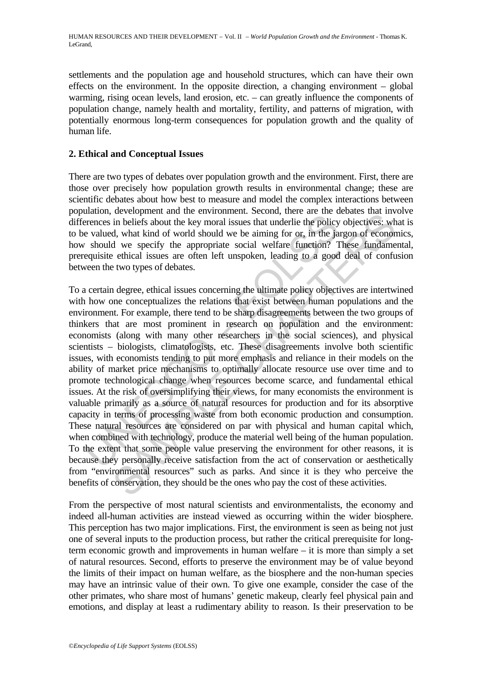settlements and the population age and household structures, which can have their own effects on the environment. In the opposite direction, a changing environment – global warming, rising ocean levels, land erosion, etc. – can greatly influence the components of population change, namely health and mortality, fertility, and patterns of migration, with potentially enormous long-term consequences for population growth and the quality of human life.

#### **2. Ethical and Conceptual Issues**

There are two types of debates over population growth and the environment. First, there are those over precisely how population growth results in environmental change; these are scientific debates about how best to measure and model the complex interactions between population, development and the environment. Second, there are the debates that involve differences in beliefs about the key moral issues that underlie the policy objectives: what is to be valued, what kind of world should we be aiming for or, in the jargon of economics, how should we specify the appropriate social welfare function? These fundamental, prerequisite ethical issues are often left unspoken, leading to a good deal of confusion between the two types of debates.

meanon, actooperation and are convincents. becomes the extent at extent and entirely experiences in beliefs about the key moral issues that underlie the policy e valued, what kind of world should we be aiming for or, in th about the activity in the controllering. Second, there are the dealed what the dealed we be the controller in beliefs about the key moral issues that underlie the policy objectives: wh<br>d, what kind of world should we be ai To a certain degree, ethical issues concerning the ultimate policy objectives are intertwined with how one conceptualizes the relations that exist between human populations and the environment. For example, there tend to be sharp disagreements between the two groups of thinkers that are most prominent in research on population and the environment: economists (along with many other researchers in the social sciences), and physical scientists – biologists, climatologists, etc. These disagreements involve both scientific issues, with economists tending to put more emphasis and reliance in their models on the ability of market price mechanisms to optimally allocate resource use over time and to promote technological change when resources become scarce, and fundamental ethical issues. At the risk of oversimplifying their views, for many economists the environment is valuable primarily as a source of natural resources for production and for its absorptive capacity in terms of processing waste from both economic production and consumption. These natural resources are considered on par with physical and human capital which, when combined with technology, produce the material well being of the human population. To the extent that some people value preserving the environment for other reasons, it is because they personally receive satisfaction from the act of conservation or aesthetically from "environmental resources" such as parks. And since it is they who perceive the benefits of conservation, they should be the ones who pay the cost of these activities.

From the perspective of most natural scientists and environmentalists, the economy and indeed all-human activities are instead viewed as occurring within the wider biosphere. This perception has two major implications. First, the environment is seen as being not just one of several inputs to the production process, but rather the critical prerequisite for longterm economic growth and improvements in human welfare – it is more than simply a set of natural resources. Second, efforts to preserve the environment may be of value beyond the limits of their impact on human welfare, as the biosphere and the non-human species may have an intrinsic value of their own. To give one example, consider the case of the other primates, who share most of humans' genetic makeup, clearly feel physical pain and emotions, and display at least a rudimentary ability to reason. Is their preservation to be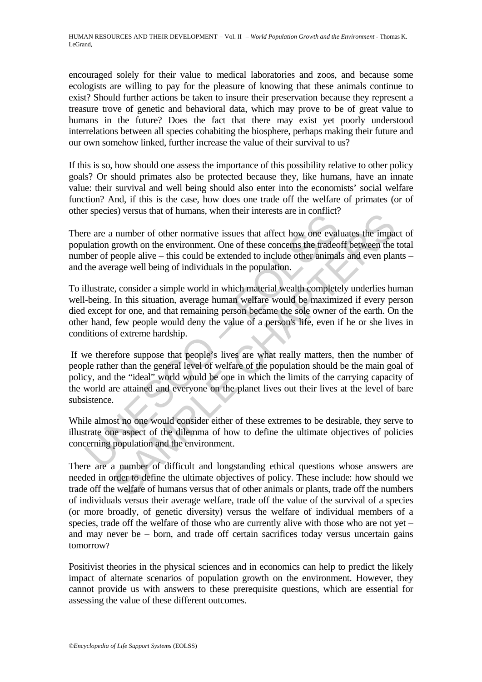encouraged solely for their value to medical laboratories and zoos, and because some ecologists are willing to pay for the pleasure of knowing that these animals continue to exist? Should further actions be taken to insure their preservation because they represent a treasure trove of genetic and behavioral data, which may prove to be of great value to humans in the future? Does the fact that there may exist yet poorly understood interrelations between all species cohabiting the biosphere, perhaps making their future and our own somehow linked, further increase the value of their survival to us?

If this is so, how should one assess the importance of this possibility relative to other policy goals? Or should primates also be protected because they, like humans, have an innate value: their survival and well being should also enter into the economists' social welfare function? And, if this is the case, how does one trade off the welfare of primates (or of other species) versus that of humans, when their interests are in conflict?

There are a number of other normative issues that affect how one evaluates the impact of population growth on the environment. One of these concerns the tradeoff between the total number of people alive – this could be extended to include other animals and even plants – and the average well being of individuals in the population.

To illustrate, consider a simple world in which material wealth completely underlies human well-being. In this situation, average human welfare would be maximized if every person died except for one, and that remaining person became the sole owner of the earth. On the other hand, few people would deny the value of a person's life, even if he or she lives in conditions of extreme hardship.

The process) versus and of naminals, when then interests the in estimate.<br>The are are a number of other normative issues that affect how one evaluation growth on the environment. One of these concerns the traded<br>the proper Solves that of naminals, when there interests are in commet:<br>
In number of other normantive issues that affect how one evaluates the impactory<br>
argrowth on the environment. One of these concerns the tradeoff between the<br>
p If we therefore suppose that people's lives are what really matters, then the number of people rather than the general level of welfare of the population should be the main goal of policy, and the "ideal" world would be one in which the limits of the carrying capacity of the world are attained and everyone on the planet lives out their lives at the level of bare subsistence.

While almost no one would consider either of these extremes to be desirable, they serve to illustrate one aspect of the dilemma of how to define the ultimate objectives of policies concerning population and the environment.

There are a number of difficult and longstanding ethical questions whose answers are needed in order to define the ultimate objectives of policy. These include: how should we trade off the welfare of humans versus that of other animals or plants, trade off the numbers of individuals versus their average welfare, trade off the value of the survival of a species (or more broadly, of genetic diversity) versus the welfare of individual members of a species, trade off the welfare of those who are currently alive with those who are not yet – and may never be – born, and trade off certain sacrifices today versus uncertain gains tomorrow?

Positivist theories in the physical sciences and in economics can help to predict the likely impact of alternate scenarios of population growth on the environment. However, they cannot provide us with answers to these prerequisite questions, which are essential for assessing the value of these different outcomes.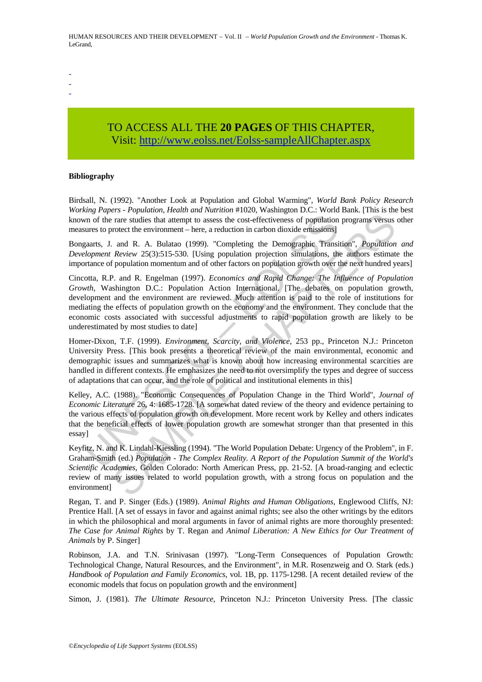HUMAN RESOURCES AND THEIR DEVELOPMENT – Vol. II – *World Population Growth and the Environment* - Thomas K. LeGrand,

- -
- -

## TO ACCESS ALL THE **20 PAGES** OF THIS CHAPTER, Visit: [http://www.eolss.net/Eolss-sampleAllChapter.aspx](https://www.eolss.net/ebooklib/sc_cart.aspx?File=E1-10-04-01)

#### **Bibliography**

Birdsall, N. (1992). "Another Look at Population and Global Warming", *World Bank Policy Research Working Papers - Population, Health and Nutrition* #1020, Washington D.C.: World Bank. [This is the best known of the rare studies that attempt to assess the cost-effectiveness of population programs versus other measures to protect the environment – here, a reduction in carbon dioxide emissions]

Bongaarts, J. and R. A. Bulatao (1999). "Completing the Demographic Transition", *Population and Development Review* 25(3):515-530. [Using population projection simulations, the authors estimate the importance of population momentum and of other factors on population growth over the next hundred years]

and the transmission of the random method (1999). "Completing the Demographic Transmission (1991). "Completing the Demographic Transmission and R. A. Bulatao (1999). "Completing the Demographic Transmissions againts, J. a Erampon, Treatmon, Theory and Transmitter and the risk of the Polacian Crisis and R. The The Chaptaion programs versus rate at the environment – here, a reduction in carbon dioxide emissions] and R. A. Bulatao (1999). "Co Cincotta, R.P. and R. Engelman (1997). *Economics and Rapid Change: The Influence of Population Growth*, Washington D.C.: Population Action International. [The debates on population growth, development and the environment are reviewed. Much attention is paid to the role of institutions for mediating the effects of population growth on the economy and the environment. They conclude that the economic costs associated with successful adjustments to rapid population growth are likely to be underestimated by most studies to date]

Homer-Dixon, T.F. (1999). *Environment, Scarcity, and Violence*, 253 pp., Princeton N.J.: Princeton University Press. [This book presents a theoretical review of the main environmental, economic and demographic issues and summarizes what is known about how increasing environmental scarcities are handled in different contexts. He emphasizes the need to not oversimplify the types and degree of success of adaptations that can occur, and the role of political and institutional elements in this]

Kelley, A.C. (1988). "Economic Consequences of Population Change in the Third World", *Journal of Economic Literature* 26, 4: 1685-1728. [A somewhat dated review of the theory and evidence pertaining to the various effects of population growth on development. More recent work by Kelley and others indicates that the beneficial effects of lower population growth are somewhat stronger than that presented in this essay]

Keyfitz, N. and K. Lindahl-Kiessling (1994). "The World Population Debate: Urgency of the Problem", in F. Graham-Smith (ed.) *Population - The Complex Reality. A Report of the Population Summit of the World's Scientific Academies*, Golden Colorado: North American Press, pp. 21-52. [A broad-ranging and eclectic review of many issues related to world population growth, with a strong focus on population and the environment]

Regan, T. and P. Singer (Eds.) (1989). *Animal Rights and Human Obligations*, Englewood Cliffs, NJ: Prentice Hall. [A set of essays in favor and against animal rights; see also the other writings by the editors in which the philosophical and moral arguments in favor of animal rights are more thoroughly presented: *The Case for Animal Rights* by T. Regan and *Animal Liberation: A New Ethics for Our Treatment of Animals* by P. Singer]

Robinson, J.A. and T.N. Srinivasan (1997). "Long-Term Consequences of Population Growth: Technological Change, Natural Resources, and the Environment", in M.R. Rosenzweig and O. Stark (eds.) *Handbook of Population and Family Economics*, vol. 1B, pp. 1175-1298. [A recent detailed review of the economic models that focus on population growth and the environment]

Simon, J. (1981). *The Ultimate Resource*, Princeton N.J.: Princeton University Press. [The classic